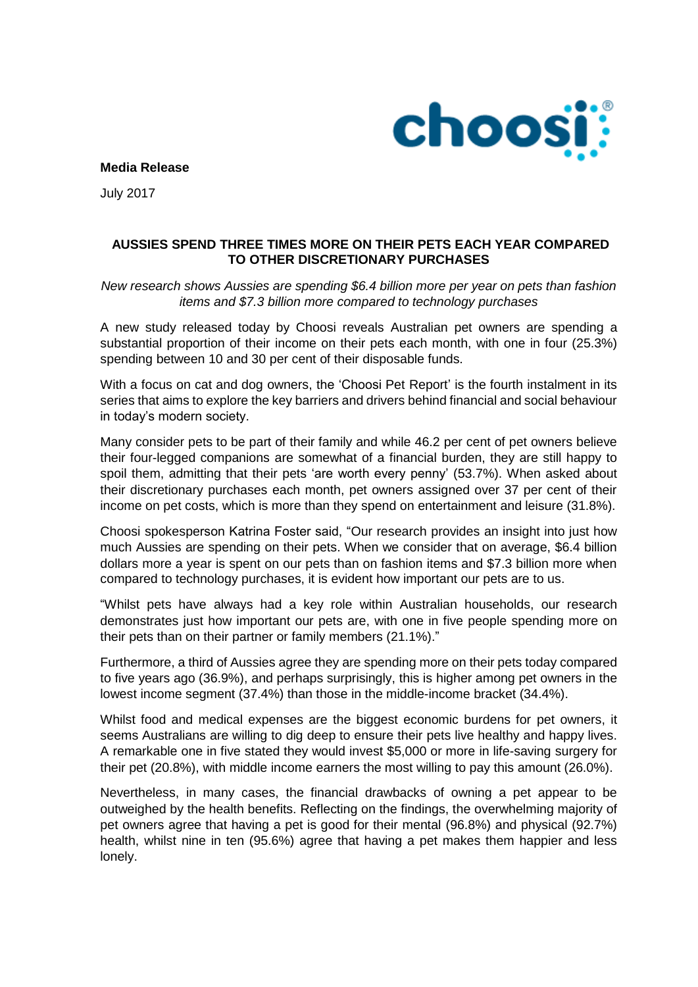

**Media Release**

July 2017

## **AUSSIES SPEND THREE TIMES MORE ON THEIR PETS EACH YEAR COMPARED TO OTHER DISCRETIONARY PURCHASES**

*New research shows Aussies are spending \$6.4 billion more per year on pets than fashion items and \$7.3 billion more compared to technology purchases* 

A new study released today by Choosi reveals Australian pet owners are spending a substantial proportion of their income on their pets each month, with one in four (25.3%) spending between 10 and 30 per cent of their disposable funds.

With a focus on cat and dog owners, the 'Choosi Pet Report' is the fourth instalment in its series that aims to explore the key barriers and drivers behind financial and social behaviour in today's modern society.

Many consider pets to be part of their family and while 46.2 per cent of pet owners believe their four-legged companions are somewhat of a financial burden, they are still happy to spoil them, admitting that their pets 'are worth every penny' (53.7%). When asked about their discretionary purchases each month, pet owners assigned over 37 per cent of their income on pet costs, which is more than they spend on entertainment and leisure (31.8%).

Choosi spokesperson Katrina Foster said, "Our research provides an insight into just how much Aussies are spending on their pets. When we consider that on average, \$6.4 billion dollars more a year is spent on our pets than on fashion items and \$7.3 billion more when compared to technology purchases, it is evident how important our pets are to us.

"Whilst pets have always had a key role within Australian households, our research demonstrates just how important our pets are, with one in five people spending more on their pets than on their partner or family members (21.1%)."

Furthermore, a third of Aussies agree they are spending more on their pets today compared to five years ago (36.9%), and perhaps surprisingly, this is higher among pet owners in the lowest income segment (37.4%) than those in the middle-income bracket (34.4%).

Whilst food and medical expenses are the biggest economic burdens for pet owners, it seems Australians are willing to dig deep to ensure their pets live healthy and happy lives. A remarkable one in five stated they would invest \$5,000 or more in life-saving surgery for their pet (20.8%), with middle income earners the most willing to pay this amount (26.0%).

Nevertheless, in many cases, the financial drawbacks of owning a pet appear to be outweighed by the health benefits. Reflecting on the findings, the overwhelming majority of pet owners agree that having a pet is good for their mental (96.8%) and physical (92.7%) health, whilst nine in ten (95.6%) agree that having a pet makes them happier and less lonely.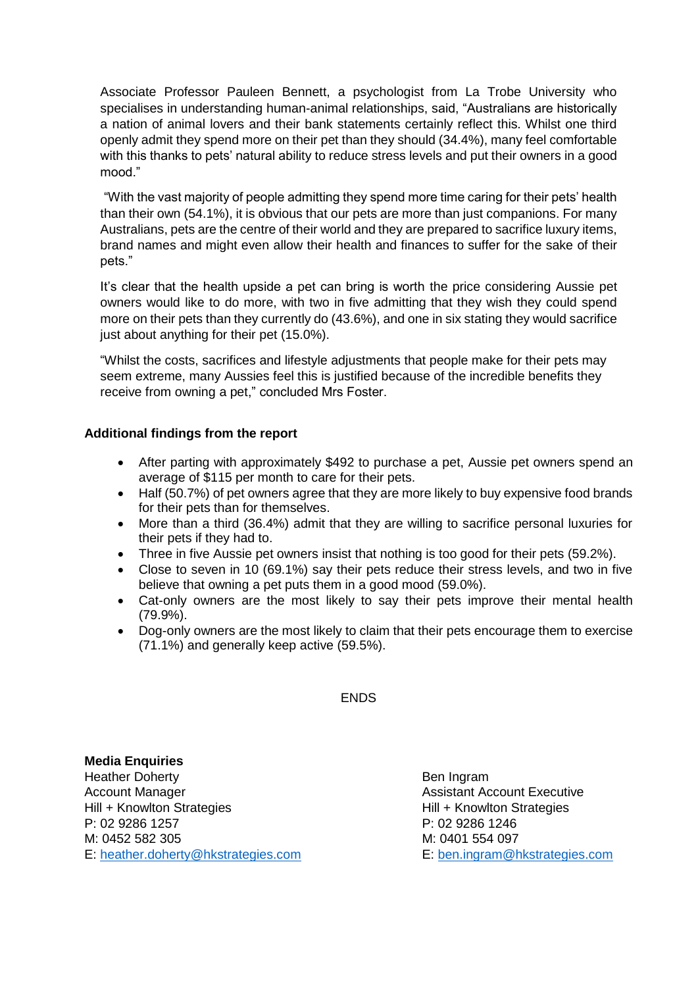Associate Professor Pauleen Bennett, a psychologist from La Trobe University who specialises in understanding human-animal relationships, said, "Australians are historically a nation of animal lovers and their bank statements certainly reflect this. Whilst one third openly admit they spend more on their pet than they should (34.4%), many feel comfortable with this thanks to pets' natural ability to reduce stress levels and put their owners in a good mood."

"With the vast majority of people admitting they spend more time caring for their pets' health than their own (54.1%), it is obvious that our pets are more than just companions. For many Australians, pets are the centre of their world and they are prepared to sacrifice luxury items, brand names and might even allow their health and finances to suffer for the sake of their pets."

It's clear that the health upside a pet can bring is worth the price considering Aussie pet owners would like to do more, with two in five admitting that they wish they could spend more on their pets than they currently do (43.6%), and one in six stating they would sacrifice just about anything for their pet (15.0%).

"Whilst the costs, sacrifices and lifestyle adjustments that people make for their pets may seem extreme, many Aussies feel this is justified because of the incredible benefits they receive from owning a pet," concluded Mrs Foster.

## **Additional findings from the report**

- After parting with approximately \$492 to purchase a pet, Aussie pet owners spend an average of \$115 per month to care for their pets.
- Half (50.7%) of pet owners agree that they are more likely to buy expensive food brands for their pets than for themselves.
- More than a third (36.4%) admit that they are willing to sacrifice personal luxuries for their pets if they had to.
- Three in five Aussie pet owners insist that nothing is too good for their pets (59.2%).
- Close to seven in 10 (69.1%) say their pets reduce their stress levels, and two in five believe that owning a pet puts them in a good mood (59.0%).
- Cat-only owners are the most likely to say their pets improve their mental health (79.9%).
- Dog-only owners are the most likely to claim that their pets encourage them to exercise (71.1%) and generally keep active (59.5%).

**ENDS** 

**Media Enquiries** Heather Doherty **Ben Ingram** Account Manager Assistant Account Executive Hill + Knowlton Strategies **Hill + Knowlton Strategies** P: 02 9286 1257 P: 02 9286 1246 M: 0452 582 305 M: 0401 554 097 E: [heather.doherty@hkstrategies.com](mailto:heather.doherty@hkstrategies.com) E: [ben.ingram@hkstrategies.com](mailto:ben.ingram@hkstrategies.com)